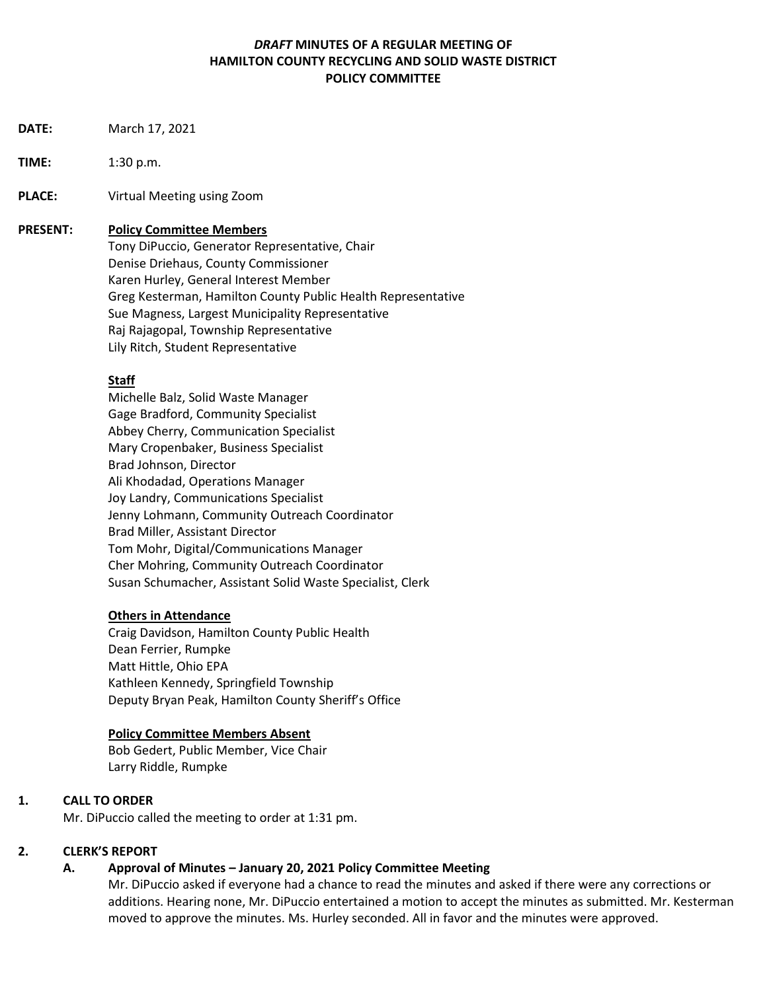# *DRAFT* **MINUTES OF A REGULAR MEETING OF HAMILTON COUNTY RECYCLING AND SOLID WASTE DISTRICT POLICY COMMITTEE**

- **DATE:** March 17, 2021
- **TIME:** 1:30 p.m.
- **PLACE:** Virtual Meeting using Zoom

### **PRESENT: Policy Committee Members**

Tony DiPuccio, Generator Representative, Chair Denise Driehaus, County Commissioner Karen Hurley, General Interest Member Greg Kesterman, Hamilton County Public Health Representative Sue Magness, Largest Municipality Representative Raj Rajagopal, Township Representative Lily Ritch, Student Representative

### **Staff**

Michelle Balz, Solid Waste Manager Gage Bradford, Community Specialist Abbey Cherry, Communication Specialist Mary Cropenbaker, Business Specialist Brad Johnson, Director Ali Khodadad, Operations Manager Joy Landry, Communications Specialist Jenny Lohmann, Community Outreach Coordinator Brad Miller, Assistant Director Tom Mohr, Digital/Communications Manager Cher Mohring, Community Outreach Coordinator Susan Schumacher, Assistant Solid Waste Specialist, Clerk

### **Others in Attendance**

Craig Davidson, Hamilton County Public Health Dean Ferrier, Rumpke Matt Hittle, Ohio EPA Kathleen Kennedy, Springfield Township Deputy Bryan Peak, Hamilton County Sheriff's Office

#### **Policy Committee Members Absent**

Bob Gedert, Public Member, Vice Chair Larry Riddle, Rumpke

### **1. CALL TO ORDER**

Mr. DiPuccio called the meeting to order at 1:31 pm.

### **2. CLERK'S REPORT**

### **A. Approval of Minutes – January 20, 2021 Policy Committee Meeting**

 Mr. DiPuccio asked if everyone had a chance to read the minutes and asked if there were any corrections or additions. Hearing none, Mr. DiPuccio entertained a motion to accept the minutes as submitted. Mr. Kesterman moved to approve the minutes. Ms. Hurley seconded. All in favor and the minutes were approved.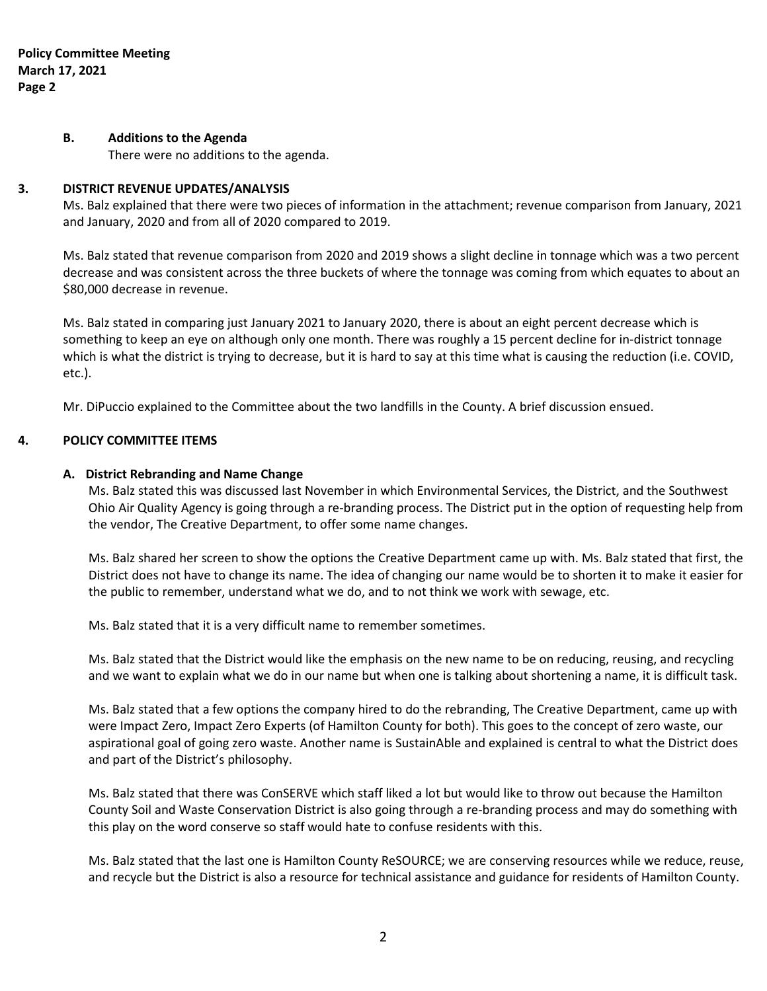## **B. Additions to the Agenda**

There were no additions to the agenda.

### **3. DISTRICT REVENUE UPDATES/ANALYSIS**

Ms. Balz explained that there were two pieces of information in the attachment; revenue comparison from January, 2021 and January, 2020 and from all of 2020 compared to 2019.

Ms. Balz stated that revenue comparison from 2020 and 2019 shows a slight decline in tonnage which was a two percent decrease and was consistent across the three buckets of where the tonnage was coming from which equates to about an \$80,000 decrease in revenue.

Ms. Balz stated in comparing just January 2021 to January 2020, there is about an eight percent decrease which is something to keep an eye on although only one month. There was roughly a 15 percent decline for in-district tonnage which is what the district is trying to decrease, but it is hard to say at this time what is causing the reduction (i.e. COVID, etc.).

Mr. DiPuccio explained to the Committee about the two landfills in the County. A brief discussion ensued.

# **4. POLICY COMMITTEE ITEMS**

## **A. District Rebranding and Name Change**

Ms. Balz stated this was discussed last November in which Environmental Services, the District, and the Southwest Ohio Air Quality Agency is going through a re-branding process. The District put in the option of requesting help from the vendor, The Creative Department, to offer some name changes.

Ms. Balz shared her screen to show the options the Creative Department came up with. Ms. Balz stated that first, the District does not have to change its name. The idea of changing our name would be to shorten it to make it easier for the public to remember, understand what we do, and to not think we work with sewage, etc.

Ms. Balz stated that it is a very difficult name to remember sometimes.

Ms. Balz stated that the District would like the emphasis on the new name to be on reducing, reusing, and recycling and we want to explain what we do in our name but when one is talking about shortening a name, it is difficult task.

Ms. Balz stated that a few options the company hired to do the rebranding, The Creative Department, came up with were Impact Zero, Impact Zero Experts (of Hamilton County for both). This goes to the concept of zero waste, our aspirational goal of going zero waste. Another name is SustainAble and explained is central to what the District does and part of the District's philosophy.

Ms. Balz stated that there was ConSERVE which staff liked a lot but would like to throw out because the Hamilton County Soil and Waste Conservation District is also going through a re-branding process and may do something with this play on the word conserve so staff would hate to confuse residents with this.

Ms. Balz stated that the last one is Hamilton County ReSOURCE; we are conserving resources while we reduce, reuse, and recycle but the District is also a resource for technical assistance and guidance for residents of Hamilton County.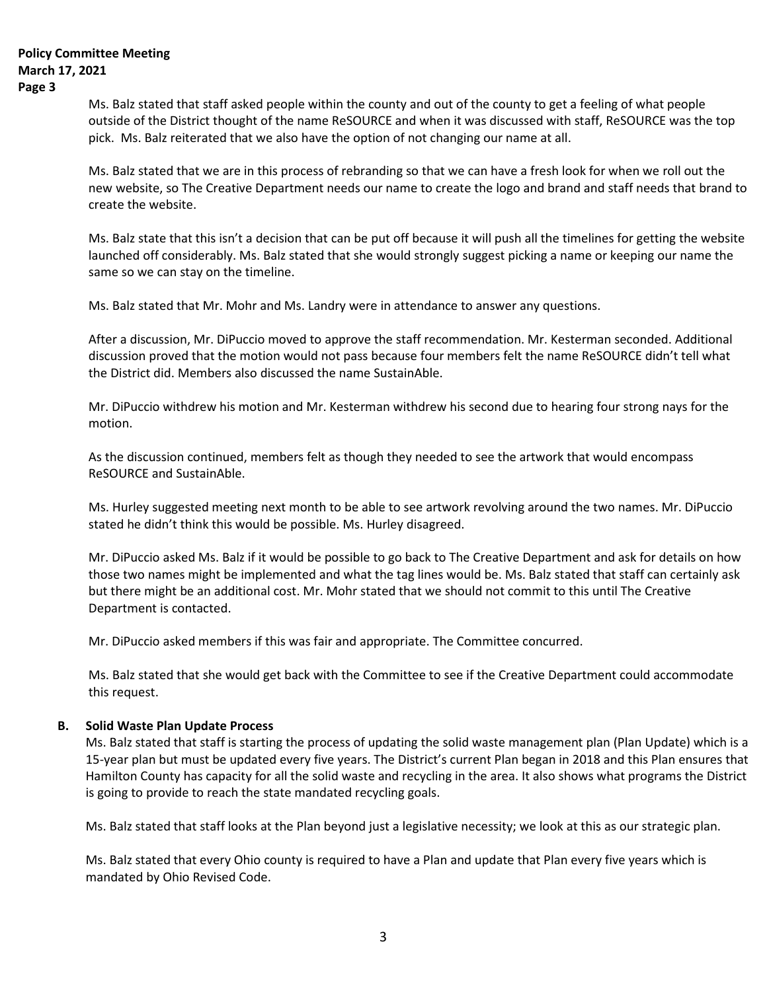Ms. Balz stated that staff asked people within the county and out of the county to get a feeling of what people outside of the District thought of the name ReSOURCE and when it was discussed with staff, ReSOURCE was the top pick. Ms. Balz reiterated that we also have the option of not changing our name at all.

Ms. Balz stated that we are in this process of rebranding so that we can have a fresh look for when we roll out the new website, so The Creative Department needs our name to create the logo and brand and staff needs that brand to create the website.

Ms. Balz state that this isn't a decision that can be put off because it will push all the timelines for getting the website launched off considerably. Ms. Balz stated that she would strongly suggest picking a name or keeping our name the same so we can stay on the timeline.

Ms. Balz stated that Mr. Mohr and Ms. Landry were in attendance to answer any questions.

After a discussion, Mr. DiPuccio moved to approve the staff recommendation. Mr. Kesterman seconded. Additional discussion proved that the motion would not pass because four members felt the name ReSOURCE didn't tell what the District did. Members also discussed the name SustainAble.

Mr. DiPuccio withdrew his motion and Mr. Kesterman withdrew his second due to hearing four strong nays for the motion.

As the discussion continued, members felt as though they needed to see the artwork that would encompass ReSOURCE and SustainAble.

Ms. Hurley suggested meeting next month to be able to see artwork revolving around the two names. Mr. DiPuccio stated he didn't think this would be possible. Ms. Hurley disagreed.

Mr. DiPuccio asked Ms. Balz if it would be possible to go back to The Creative Department and ask for details on how those two names might be implemented and what the tag lines would be. Ms. Balz stated that staff can certainly ask but there might be an additional cost. Mr. Mohr stated that we should not commit to this until The Creative Department is contacted.

Mr. DiPuccio asked members if this was fair and appropriate. The Committee concurred.

Ms. Balz stated that she would get back with the Committee to see if the Creative Department could accommodate this request.

# **B. Solid Waste Plan Update Process**

Ms. Balz stated that staff is starting the process of updating the solid waste management plan (Plan Update) which is a 15-year plan but must be updated every five years. The District's current Plan began in 2018 and this Plan ensures that Hamilton County has capacity for all the solid waste and recycling in the area. It also shows what programs the District is going to provide to reach the state mandated recycling goals.

Ms. Balz stated that staff looks at the Plan beyond just a legislative necessity; we look at this as our strategic plan.

Ms. Balz stated that every Ohio county is required to have a Plan and update that Plan every five years which is mandated by Ohio Revised Code.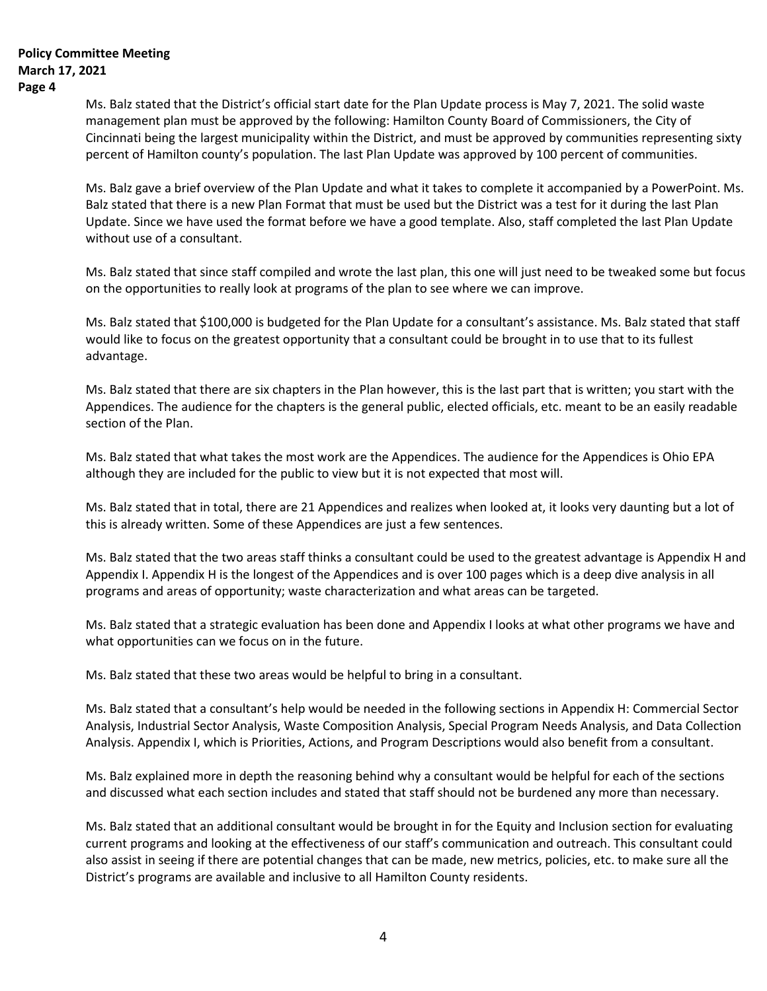Ms. Balz stated that the District's official start date for the Plan Update process is May 7, 2021. The solid waste management plan must be approved by the following: Hamilton County Board of Commissioners, the City of Cincinnati being the largest municipality within the District, and must be approved by communities representing sixty percent of Hamilton county's population. The last Plan Update was approved by 100 percent of communities.

Ms. Balz gave a brief overview of the Plan Update and what it takes to complete it accompanied by a PowerPoint. Ms. Balz stated that there is a new Plan Format that must be used but the District was a test for it during the last Plan Update. Since we have used the format before we have a good template. Also, staff completed the last Plan Update without use of a consultant.

Ms. Balz stated that since staff compiled and wrote the last plan, this one will just need to be tweaked some but focus on the opportunities to really look at programs of the plan to see where we can improve.

Ms. Balz stated that \$100,000 is budgeted for the Plan Update for a consultant's assistance. Ms. Balz stated that staff would like to focus on the greatest opportunity that a consultant could be brought in to use that to its fullest advantage.

Ms. Balz stated that there are six chapters in the Plan however, this is the last part that is written; you start with the Appendices. The audience for the chapters is the general public, elected officials, etc. meant to be an easily readable section of the Plan.

Ms. Balz stated that what takes the most work are the Appendices. The audience for the Appendices is Ohio EPA although they are included for the public to view but it is not expected that most will.

Ms. Balz stated that in total, there are 21 Appendices and realizes when looked at, it looks very daunting but a lot of this is already written. Some of these Appendices are just a few sentences.

Ms. Balz stated that the two areas staff thinks a consultant could be used to the greatest advantage is Appendix H and Appendix I. Appendix H is the longest of the Appendices and is over 100 pages which is a deep dive analysis in all programs and areas of opportunity; waste characterization and what areas can be targeted.

Ms. Balz stated that a strategic evaluation has been done and Appendix I looks at what other programs we have and what opportunities can we focus on in the future.

Ms. Balz stated that these two areas would be helpful to bring in a consultant.

Ms. Balz stated that a consultant's help would be needed in the following sections in Appendix H: Commercial Sector Analysis, Industrial Sector Analysis, Waste Composition Analysis, Special Program Needs Analysis, and Data Collection Analysis. Appendix I, which is Priorities, Actions, and Program Descriptions would also benefit from a consultant.

 Ms. Balz explained more in depth the reasoning behind why a consultant would be helpful for each of the sections and discussed what each section includes and stated that staff should not be burdened any more than necessary.

 Ms. Balz stated that an additional consultant would be brought in for the Equity and Inclusion section for evaluating current programs and looking at the effectiveness of our staff's communication and outreach. This consultant could also assist in seeing if there are potential changes that can be made, new metrics, policies, etc. to make sure all the District's programs are available and inclusive to all Hamilton County residents.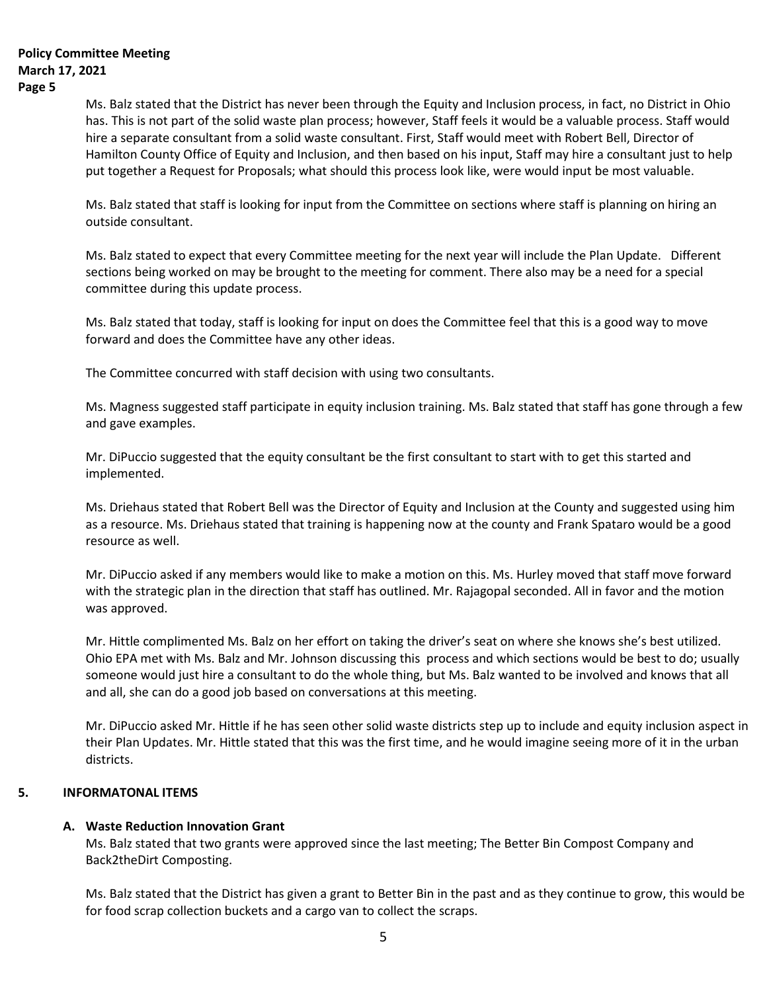Ms. Balz stated that the District has never been through the Equity and Inclusion process, in fact, no District in Ohio has. This is not part of the solid waste plan process; however, Staff feels it would be a valuable process. Staff would hire a separate consultant from a solid waste consultant. First, Staff would meet with Robert Bell, Director of Hamilton County Office of Equity and Inclusion, and then based on his input, Staff may hire a consultant just to help put together a Request for Proposals; what should this process look like, were would input be most valuable.

Ms. Balz stated that staff is looking for input from the Committee on sections where staff is planning on hiring an outside consultant.

Ms. Balz stated to expect that every Committee meeting for the next year will include the Plan Update. Different sections being worked on may be brought to the meeting for comment. There also may be a need for a special committee during this update process.

Ms. Balz stated that today, staff is looking for input on does the Committee feel that this is a good way to move forward and does the Committee have any other ideas.

The Committee concurred with staff decision with using two consultants.

Ms. Magness suggested staff participate in equity inclusion training. Ms. Balz stated that staff has gone through a few and gave examples.

Mr. DiPuccio suggested that the equity consultant be the first consultant to start with to get this started and implemented.

Ms. Driehaus stated that Robert Bell was the Director of Equity and Inclusion at the County and suggested using him as a resource. Ms. Driehaus stated that training is happening now at the county and Frank Spataro would be a good resource as well.

Mr. DiPuccio asked if any members would like to make a motion on this. Ms. Hurley moved that staff move forward with the strategic plan in the direction that staff has outlined. Mr. Rajagopal seconded. All in favor and the motion was approved.

Mr. Hittle complimented Ms. Balz on her effort on taking the driver's seat on where she knows she's best utilized. Ohio EPA met with Ms. Balz and Mr. Johnson discussing this process and which sections would be best to do; usually someone would just hire a consultant to do the whole thing, but Ms. Balz wanted to be involved and knows that all and all, she can do a good job based on conversations at this meeting.

Mr. DiPuccio asked Mr. Hittle if he has seen other solid waste districts step up to include and equity inclusion aspect in their Plan Updates. Mr. Hittle stated that this was the first time, and he would imagine seeing more of it in the urban districts.

# **5. INFORMATONAL ITEMS**

# **A. Waste Reduction Innovation Grant**

Ms. Balz stated that two grants were approved since the last meeting; The Better Bin Compost Company and Back2theDirt Composting.

Ms. Balz stated that the District has given a grant to Better Bin in the past and as they continue to grow, this would be for food scrap collection buckets and a cargo van to collect the scraps.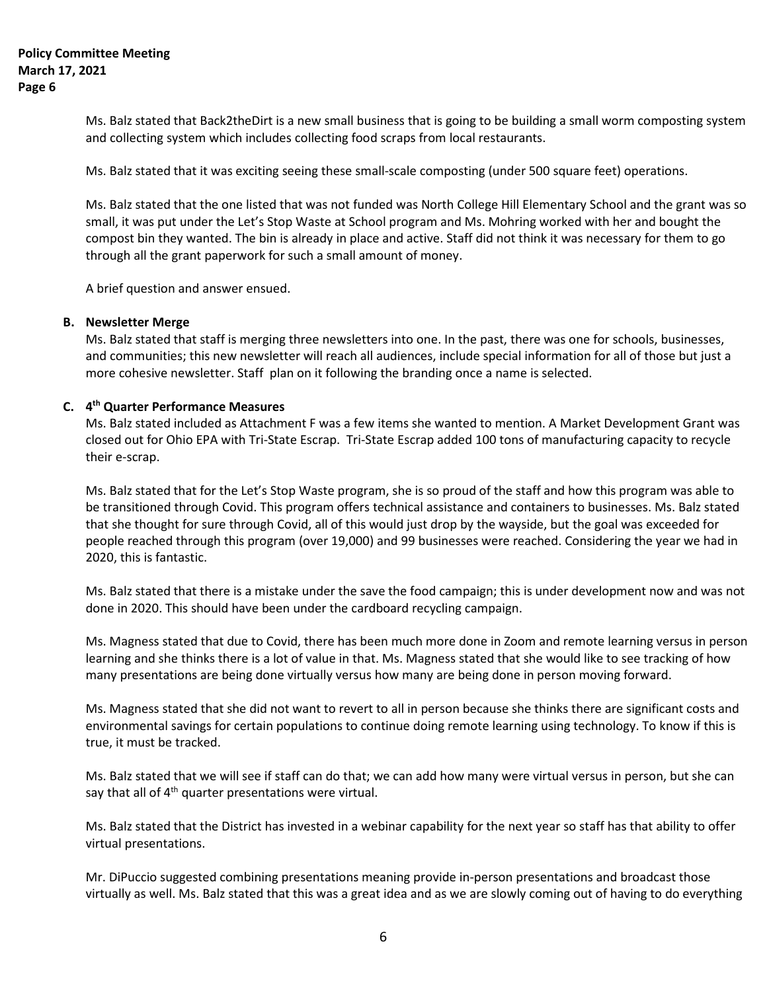Ms. Balz stated that Back2theDirt is a new small business that is going to be building a small worm composting system and collecting system which includes collecting food scraps from local restaurants.

Ms. Balz stated that it was exciting seeing these small-scale composting (under 500 square feet) operations.

Ms. Balz stated that the one listed that was not funded was North College Hill Elementary School and the grant was so small, it was put under the Let's Stop Waste at School program and Ms. Mohring worked with her and bought the compost bin they wanted. The bin is already in place and active. Staff did not think it was necessary for them to go through all the grant paperwork for such a small amount of money.

A brief question and answer ensued.

### **B. Newsletter Merge**

Ms. Balz stated that staff is merging three newsletters into one. In the past, there was one for schools, businesses, and communities; this new newsletter will reach all audiences, include special information for all of those but just a more cohesive newsletter. Staff plan on it following the branding once a name is selected.

## **C. 4 th Quarter Performance Measures**

Ms. Balz stated included as Attachment F was a few items she wanted to mention. A Market Development Grant was closed out for Ohio EPA with Tri-State Escrap. Tri-State Escrap added 100 tons of manufacturing capacity to recycle their e-scrap.

Ms. Balz stated that for the Let's Stop Waste program, she is so proud of the staff and how this program was able to be transitioned through Covid. This program offers technical assistance and containers to businesses. Ms. Balz stated that she thought for sure through Covid, all of this would just drop by the wayside, but the goal was exceeded for people reached through this program (over 19,000) and 99 businesses were reached. Considering the year we had in 2020, this is fantastic.

Ms. Balz stated that there is a mistake under the save the food campaign; this is under development now and was not done in 2020. This should have been under the cardboard recycling campaign.

Ms. Magness stated that due to Covid, there has been much more done in Zoom and remote learning versus in person learning and she thinks there is a lot of value in that. Ms. Magness stated that she would like to see tracking of how many presentations are being done virtually versus how many are being done in person moving forward.

Ms. Magness stated that she did not want to revert to all in person because she thinks there are significant costs and environmental savings for certain populations to continue doing remote learning using technology. To know if this is true, it must be tracked.

Ms. Balz stated that we will see if staff can do that; we can add how many were virtual versus in person, but she can say that all of  $4<sup>th</sup>$  quarter presentations were virtual.

Ms. Balz stated that the District has invested in a webinar capability for the next year so staff has that ability to offer virtual presentations.

Mr. DiPuccio suggested combining presentations meaning provide in-person presentations and broadcast those virtually as well. Ms. Balz stated that this was a great idea and as we are slowly coming out of having to do everything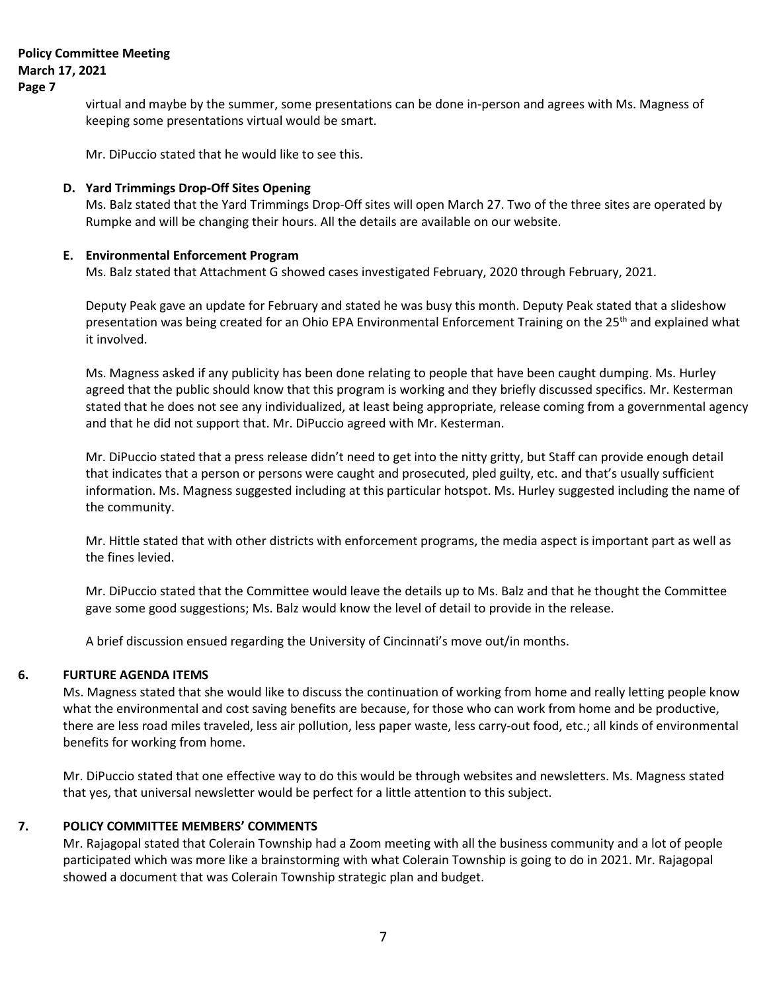virtual and maybe by the summer, some presentations can be done in-person and agrees with Ms. Magness of keeping some presentations virtual would be smart.

Mr. DiPuccio stated that he would like to see this.

### **D. Yard Trimmings Drop-Off Sites Opening**

Ms. Balz stated that the Yard Trimmings Drop-Off sites will open March 27. Two of the three sites are operated by Rumpke and will be changing their hours. All the details are available on our website.

## **E. Environmental Enforcement Program**

Ms. Balz stated that Attachment G showed cases investigated February, 2020 through February, 2021.

Deputy Peak gave an update for February and stated he was busy this month. Deputy Peak stated that a slideshow presentation was being created for an Ohio EPA Environmental Enforcement Training on the 25<sup>th</sup> and explained what it involved.

Ms. Magness asked if any publicity has been done relating to people that have been caught dumping. Ms. Hurley agreed that the public should know that this program is working and they briefly discussed specifics. Mr. Kesterman stated that he does not see any individualized, at least being appropriate, release coming from a governmental agency and that he did not support that. Mr. DiPuccio agreed with Mr. Kesterman.

Mr. DiPuccio stated that a press release didn't need to get into the nitty gritty, but Staff can provide enough detail that indicates that a person or persons were caught and prosecuted, pled guilty, etc. and that's usually sufficient information. Ms. Magness suggested including at this particular hotspot. Ms. Hurley suggested including the name of the community.

Mr. Hittle stated that with other districts with enforcement programs, the media aspect is important part as well as the fines levied.

Mr. DiPuccio stated that the Committee would leave the details up to Ms. Balz and that he thought the Committee gave some good suggestions; Ms. Balz would know the level of detail to provide in the release.

A brief discussion ensued regarding the University of Cincinnati's move out/in months.

# **6. FURTURE AGENDA ITEMS**

Ms. Magness stated that she would like to discuss the continuation of working from home and really letting people know what the environmental and cost saving benefits are because, for those who can work from home and be productive, there are less road miles traveled, less air pollution, less paper waste, less carry-out food, etc.; all kinds of environmental benefits for working from home.

Mr. DiPuccio stated that one effective way to do this would be through websites and newsletters. Ms. Magness stated that yes, that universal newsletter would be perfect for a little attention to this subject.

# **7. POLICY COMMITTEE MEMBERS' COMMENTS**

Mr. Rajagopal stated that Colerain Township had a Zoom meeting with all the business community and a lot of people participated which was more like a brainstorming with what Colerain Township is going to do in 2021. Mr. Rajagopal showed a document that was Colerain Township strategic plan and budget.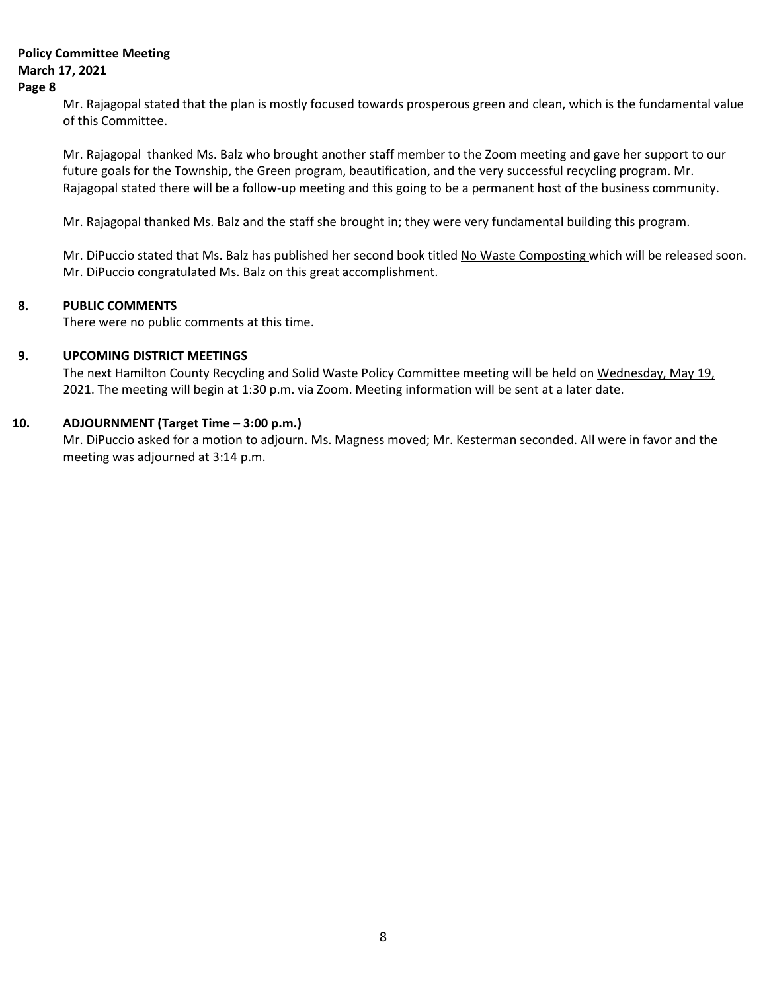# **Policy Committee Meeting March 17, 2021**

### **Page 8**

Mr. Rajagopal stated that the plan is mostly focused towards prosperous green and clean, which is the fundamental value of this Committee.

Mr. Rajagopal thanked Ms. Balz who brought another staff member to the Zoom meeting and gave her support to our future goals for the Township, the Green program, beautification, and the very successful recycling program. Mr. Rajagopal stated there will be a follow-up meeting and this going to be a permanent host of the business community.

Mr. Rajagopal thanked Ms. Balz and the staff she brought in; they were very fundamental building this program.

Mr. DiPuccio stated that Ms. Balz has published her second book titled No Waste Composting which will be released soon. Mr. DiPuccio congratulated Ms. Balz on this great accomplishment.

# **8. PUBLIC COMMENTS**

There were no public comments at this time.

# **9. UPCOMING DISTRICT MEETINGS**

The next Hamilton County Recycling and Solid Waste Policy Committee meeting will be held on Wednesday, May 19, 2021. The meeting will begin at 1:30 p.m. via Zoom. Meeting information will be sent at a later date.

# **10. ADJOURNMENT (Target Time – 3:00 p.m.)**

Mr. DiPuccio asked for a motion to adjourn. Ms. Magness moved; Mr. Kesterman seconded. All were in favor and the meeting was adjourned at 3:14 p.m.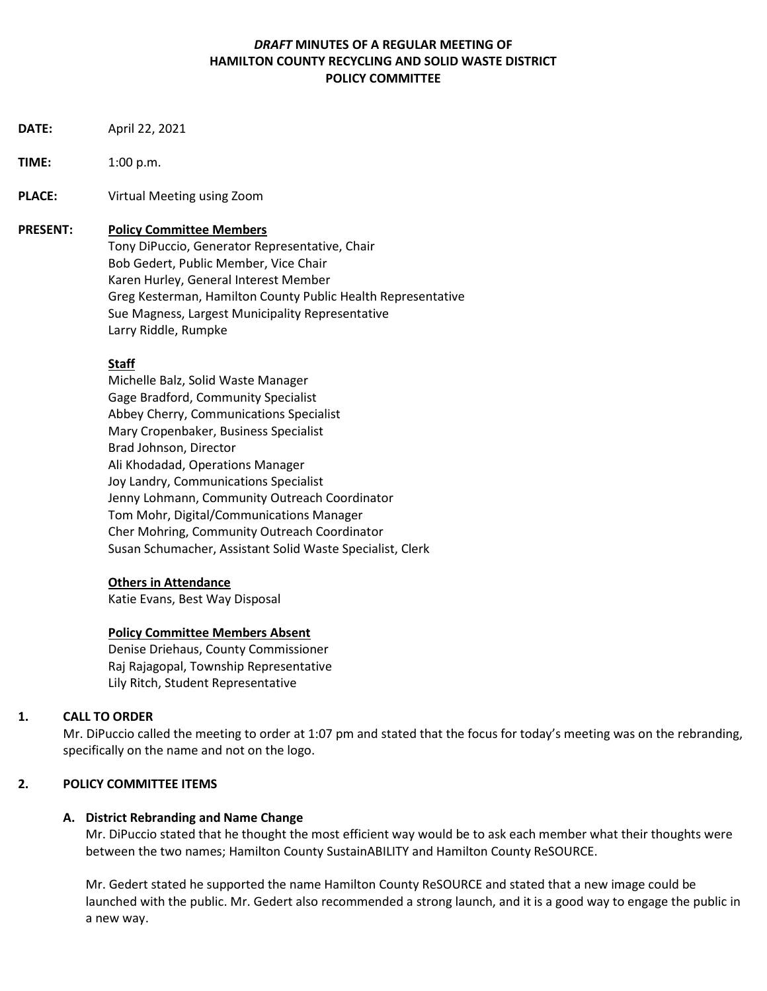# *DRAFT* **MINUTES OF A REGULAR MEETING OF HAMILTON COUNTY RECYCLING AND SOLID WASTE DISTRICT POLICY COMMITTEE**

- **DATE:** April 22, 2021
- **TIME:** 1:00 p.m.
- **PLACE:** Virtual Meeting using Zoom

## **PRESENT: Policy Committee Members**

Tony DiPuccio, Generator Representative, Chair Bob Gedert, Public Member, Vice Chair Karen Hurley, General Interest Member Greg Kesterman, Hamilton County Public Health Representative Sue Magness, Largest Municipality Representative Larry Riddle, Rumpke

# **Staff**

Michelle Balz, Solid Waste Manager Gage Bradford, Community Specialist Abbey Cherry, Communications Specialist Mary Cropenbaker, Business Specialist Brad Johnson, Director Ali Khodadad, Operations Manager Joy Landry, Communications Specialist Jenny Lohmann, Community Outreach Coordinator Tom Mohr, Digital/Communications Manager Cher Mohring, Community Outreach Coordinator Susan Schumacher, Assistant Solid Waste Specialist, Clerk

# **Others in Attendance**

Katie Evans, Best Way Disposal

# **Policy Committee Members Absent**

Denise Driehaus, County Commissioner Raj Rajagopal, Township Representative Lily Ritch, Student Representative

# **1. CALL TO ORDER**

Mr. DiPuccio called the meeting to order at 1:07 pm and stated that the focus for today's meeting was on the rebranding, specifically on the name and not on the logo.

# **2. POLICY COMMITTEE ITEMS**

# **A. District Rebranding and Name Change**

Mr. DiPuccio stated that he thought the most efficient way would be to ask each member what their thoughts were between the two names; Hamilton County SustainABILITY and Hamilton County ReSOURCE.

Mr. Gedert stated he supported the name Hamilton County ReSOURCE and stated that a new image could be launched with the public. Mr. Gedert also recommended a strong launch, and it is a good way to engage the public in a new way.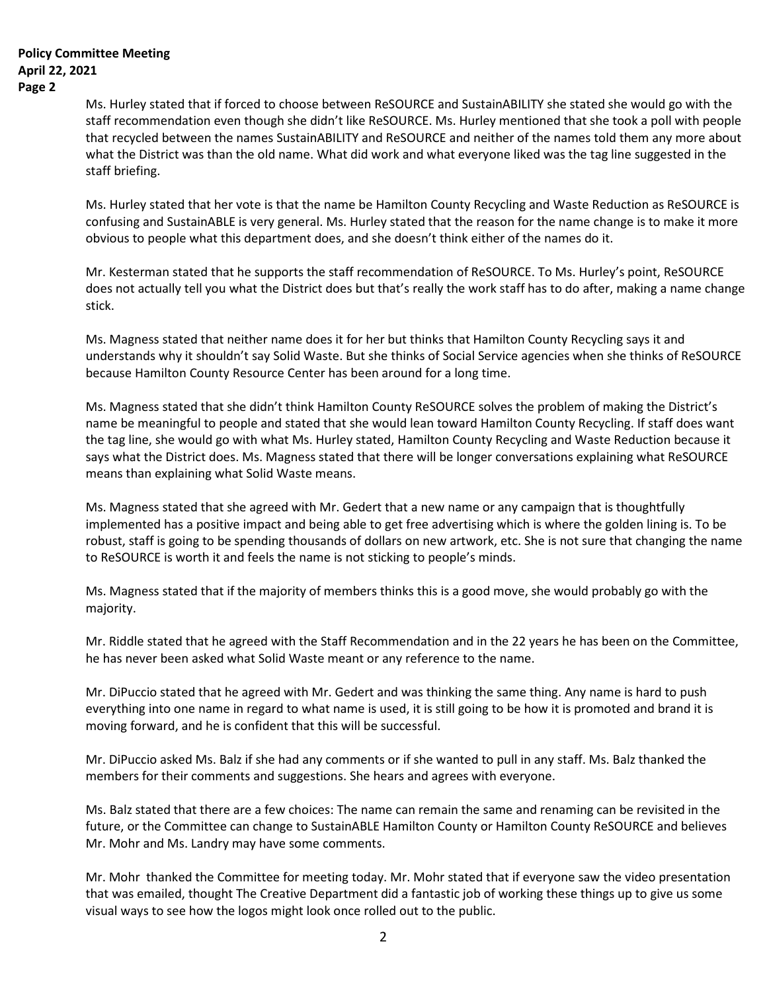Ms. Hurley stated that if forced to choose between ReSOURCE and SustainABILITY she stated she would go with the staff recommendation even though she didn't like ReSOURCE. Ms. Hurley mentioned that she took a poll with people that recycled between the names SustainABILITY and ReSOURCE and neither of the names told them any more about what the District was than the old name. What did work and what everyone liked was the tag line suggested in the staff briefing.

Ms. Hurley stated that her vote is that the name be Hamilton County Recycling and Waste Reduction as ReSOURCE is confusing and SustainABLE is very general. Ms. Hurley stated that the reason for the name change is to make it more obvious to people what this department does, and she doesn't think either of the names do it.

Mr. Kesterman stated that he supports the staff recommendation of ReSOURCE. To Ms. Hurley's point, ReSOURCE does not actually tell you what the District does but that's really the work staff has to do after, making a name change stick.

Ms. Magness stated that neither name does it for her but thinks that Hamilton County Recycling says it and understands why it shouldn't say Solid Waste. But she thinks of Social Service agencies when she thinks of ReSOURCE because Hamilton County Resource Center has been around for a long time.

Ms. Magness stated that she didn't think Hamilton County ReSOURCE solves the problem of making the District's name be meaningful to people and stated that she would lean toward Hamilton County Recycling. If staff does want the tag line, she would go with what Ms. Hurley stated, Hamilton County Recycling and Waste Reduction because it says what the District does. Ms. Magness stated that there will be longer conversations explaining what ReSOURCE means than explaining what Solid Waste means.

Ms. Magness stated that she agreed with Mr. Gedert that a new name or any campaign that is thoughtfully implemented has a positive impact and being able to get free advertising which is where the golden lining is. To be robust, staff is going to be spending thousands of dollars on new artwork, etc. She is not sure that changing the name to ReSOURCE is worth it and feels the name is not sticking to people's minds.

Ms. Magness stated that if the majority of members thinks this is a good move, she would probably go with the majority.

Mr. Riddle stated that he agreed with the Staff Recommendation and in the 22 years he has been on the Committee, he has never been asked what Solid Waste meant or any reference to the name.

Mr. DiPuccio stated that he agreed with Mr. Gedert and was thinking the same thing. Any name is hard to push everything into one name in regard to what name is used, it is still going to be how it is promoted and brand it is moving forward, and he is confident that this will be successful.

Mr. DiPuccio asked Ms. Balz if she had any comments or if she wanted to pull in any staff. Ms. Balz thanked the members for their comments and suggestions. She hears and agrees with everyone.

Ms. Balz stated that there are a few choices: The name can remain the same and renaming can be revisited in the future, or the Committee can change to SustainABLE Hamilton County or Hamilton County ReSOURCE and believes Mr. Mohr and Ms. Landry may have some comments.

Mr. Mohr thanked the Committee for meeting today. Mr. Mohr stated that if everyone saw the video presentation that was emailed, thought The Creative Department did a fantastic job of working these things up to give us some visual ways to see how the logos might look once rolled out to the public.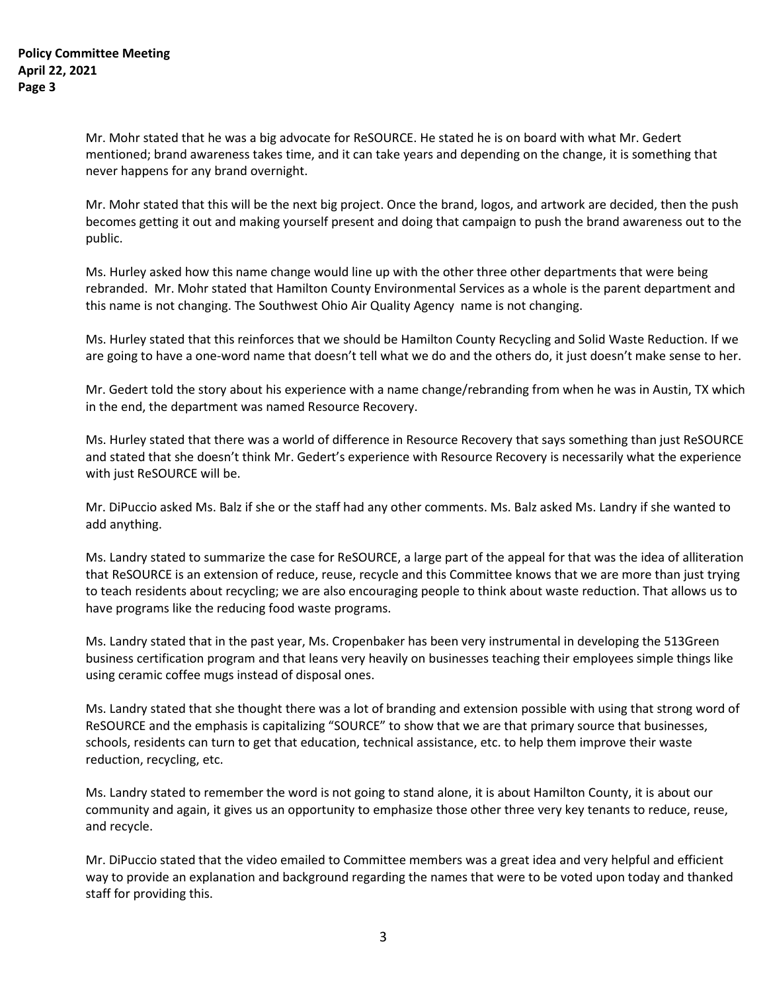Mr. Mohr stated that he was a big advocate for ReSOURCE. He stated he is on board with what Mr. Gedert mentioned; brand awareness takes time, and it can take years and depending on the change, it is something that never happens for any brand overnight.

Mr. Mohr stated that this will be the next big project. Once the brand, logos, and artwork are decided, then the push becomes getting it out and making yourself present and doing that campaign to push the brand awareness out to the public.

Ms. Hurley asked how this name change would line up with the other three other departments that were being rebranded. Mr. Mohr stated that Hamilton County Environmental Services as a whole is the parent department and this name is not changing. The Southwest Ohio Air Quality Agency name is not changing.

Ms. Hurley stated that this reinforces that we should be Hamilton County Recycling and Solid Waste Reduction. If we are going to have a one-word name that doesn't tell what we do and the others do, it just doesn't make sense to her.

Mr. Gedert told the story about his experience with a name change/rebranding from when he was in Austin, TX which in the end, the department was named Resource Recovery.

Ms. Hurley stated that there was a world of difference in Resource Recovery that says something than just ReSOURCE and stated that she doesn't think Mr. Gedert's experience with Resource Recovery is necessarily what the experience with just ReSOURCE will be.

Mr. DiPuccio asked Ms. Balz if she or the staff had any other comments. Ms. Balz asked Ms. Landry if she wanted to add anything.

Ms. Landry stated to summarize the case for ReSOURCE, a large part of the appeal for that was the idea of alliteration that ReSOURCE is an extension of reduce, reuse, recycle and this Committee knows that we are more than just trying to teach residents about recycling; we are also encouraging people to think about waste reduction. That allows us to have programs like the reducing food waste programs.

Ms. Landry stated that in the past year, Ms. Cropenbaker has been very instrumental in developing the 513Green business certification program and that leans very heavily on businesses teaching their employees simple things like using ceramic coffee mugs instead of disposal ones.

Ms. Landry stated that she thought there was a lot of branding and extension possible with using that strong word of ReSOURCE and the emphasis is capitalizing "SOURCE" to show that we are that primary source that businesses, schools, residents can turn to get that education, technical assistance, etc. to help them improve their waste reduction, recycling, etc.

Ms. Landry stated to remember the word is not going to stand alone, it is about Hamilton County, it is about our community and again, it gives us an opportunity to emphasize those other three very key tenants to reduce, reuse, and recycle.

Mr. DiPuccio stated that the video emailed to Committee members was a great idea and very helpful and efficient way to provide an explanation and background regarding the names that were to be voted upon today and thanked staff for providing this.